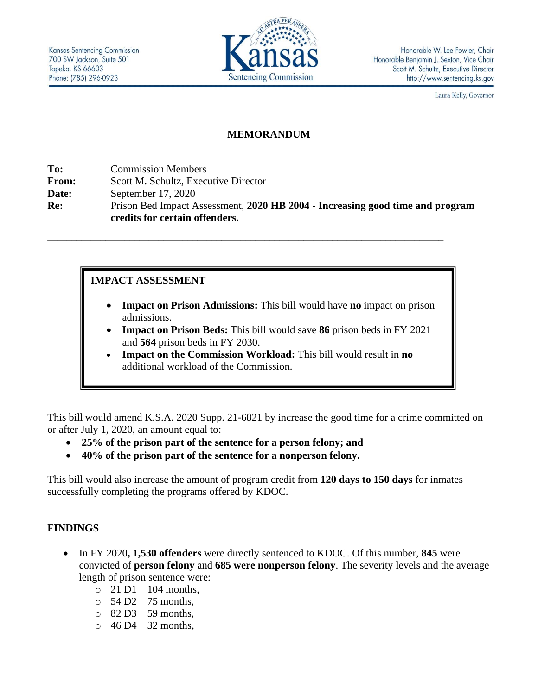

Laura Kelly, Governor

## **MEMORANDUM**

**To:** Commission Members **From:** Scott M. Schultz, Executive Director **Date:** September 17, 2020 **Re:** Prison Bed Impact Assessment, **2020 HB 2004 - Increasing good time and program credits for certain offenders.**

**\_\_\_\_\_\_\_\_\_\_\_\_\_\_\_\_\_\_\_\_\_\_\_\_\_\_\_\_\_\_\_\_\_\_\_\_\_\_\_\_\_\_\_\_\_\_\_\_\_\_\_\_\_\_\_\_\_\_\_\_\_\_\_\_\_\_\_\_\_\_\_\_\_\_\_\_\_\_\_\_\_\_**

**IMPACT ASSESSMENT**

- **Impact on Prison Admissions:** This bill would have **no** impact on prison admissions.
- **Impact on Prison Beds:** This bill would save **86** prison beds in FY 2021 and **564** prison beds in FY 2030.
- **Impact on the Commission Workload:** This bill would result in **no** additional workload of the Commission.

This bill would amend K.S.A. 2020 Supp. 21-6821 by increase the good time for a crime committed on or after July 1, 2020, an amount equal to:

- **25% of the prison part of the sentence for a person felony; and**
- **40% of the prison part of the sentence for a nonperson felony.**

This bill would also increase the amount of program credit from **120 days to 150 days** for inmates successfully completing the programs offered by KDOC.

## **FINDINGS**

- In FY 2020**, 1,530 offenders** were directly sentenced to KDOC. Of this number, **845** were convicted of **person felony** and **685 were nonperson felony**. The severity levels and the average length of prison sentence were:
	- $\circ$  21 D1 104 months,
	- $\circ$  54 D2 75 months.
	- $\circ$  82 D3 59 months,
	- $\circ$  46 D4 32 months,